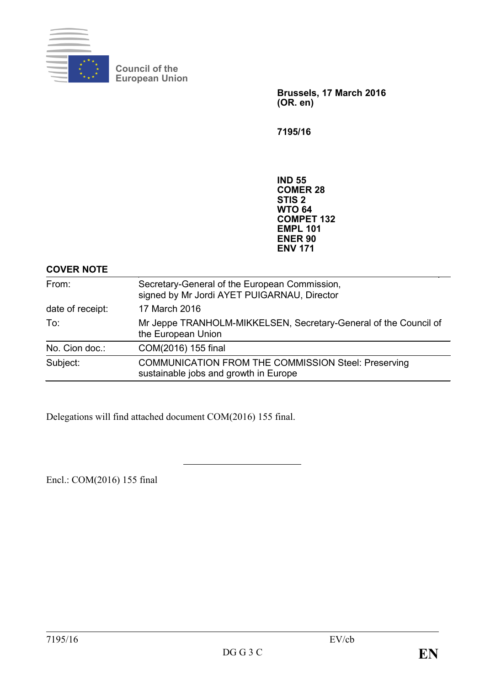

**Council of the European Union**

> **Brussels, 17 March 2016 (OR. en)**

**7195/16**

**IND 55 COMER 28 STIS 2 WTO 64 COMPET 132 EMPL 101 ENER 90 ENV 171**

# **COVER NOTE**

| From:            | Secretary-General of the European Commission,<br>signed by Mr Jordi AYET PUIGARNAU, Director        |
|------------------|-----------------------------------------------------------------------------------------------------|
| date of receipt: | 17 March 2016                                                                                       |
| To:              | Mr Jeppe TRANHOLM-MIKKELSEN, Secretary-General of the Council of<br>the European Union              |
| No. Cion doc.:   | COM(2016) 155 final                                                                                 |
| Subject:         | <b>COMMUNICATION FROM THE COMMISSION Steel: Preserving</b><br>sustainable jobs and growth in Europe |

Delegations will find attached document COM(2016) 155 final.

Encl.: COM(2016) 155 final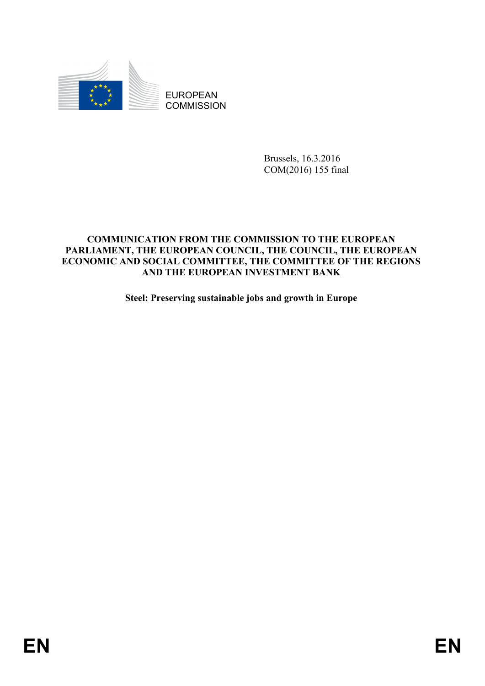

EUROPEAN **COMMISSION** 

> Brussels, 16.3.2016 COM(2016) 155 final

# **COMMUNICATION FROM THE COMMISSION TO THE EUROPEAN PARLIAMENT, THE EUROPEAN COUNCIL, THE COUNCIL, THE EUROPEAN ECONOMIC AND SOCIAL COMMITTEE, THE COMMITTEE OF THE REGIONS AND THE EUROPEAN INVESTMENT BANK**

**Steel: Preserving sustainable jobs and growth in Europe**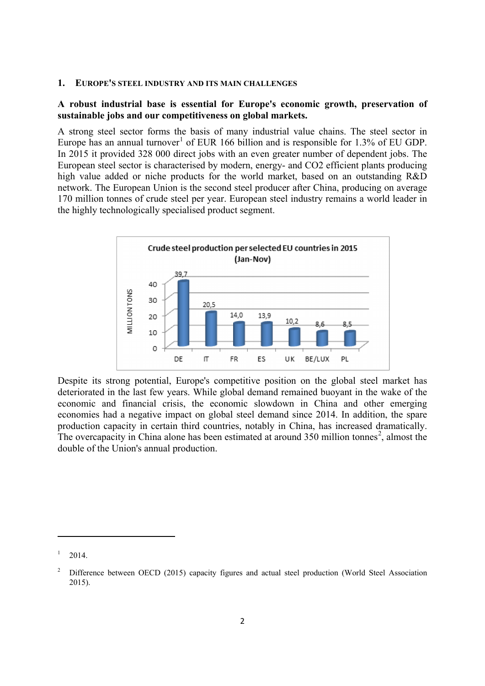#### **1. EUROPE'S STEEL INDUSTRY AND ITS MAIN CHALLENGES**

### **A robust industrial base is essential for Europe's economic growth, preservation of sustainable jobs and our competitiveness on global markets.**

A strong steel sector forms the basis of many industrial value chains. The steel sector in Europe has an annual turnover<sup>[1](#page-2-0)</sup> of EUR 166 billion and is responsible for 1.3% of EU GDP. In 2015 it provided 328 000 direct jobs with an even greater number of dependent jobs. The European steel sector is characterised by modern, energy- and CO2 efficient plants producing high value added or niche products for the world market, based on an outstanding R&D network. The European Union is the second steel producer after China, producing on average 170 million tonnes of crude steel per year. European steel industry remains a world leader in the highly technologically specialised product segment.



Despite its strong potential, Europe's competitive position on the global steel market has deteriorated in the last few years. While global demand remained buoyant in the wake of the economic and financial crisis, the economic slowdown in China and other emerging economies had a negative impact on global steel demand since 2014. In addition, the spare production capacity in certain third countries, notably in China, has increased dramatically. The overcapacity in China alone has been estimated at around  $350$  million tonnes<sup>[2](#page-2-1)</sup>, almost the double of the Union's annual production.

<span id="page-2-0"></span><sup>1</sup> 2014.

<span id="page-2-1"></span><sup>2</sup> Difference between OECD (2015) capacity figures and actual steel production (World Steel Association 2015).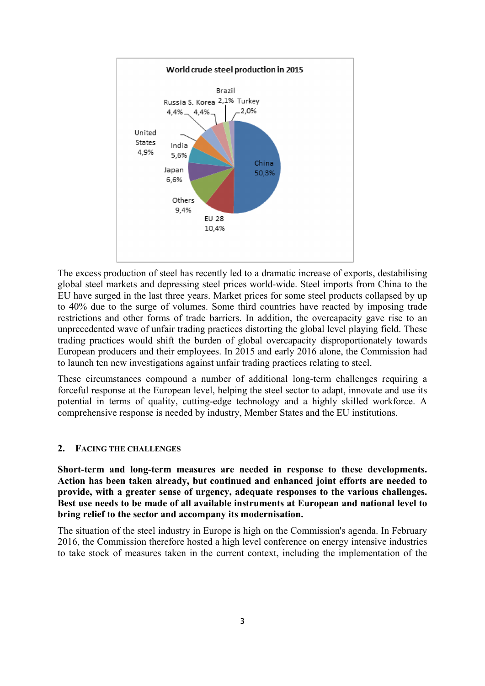

The excess production of steel has recently led to a dramatic increase of exports, destabilising global steel markets and depressing steel prices world-wide. Steel imports from China to the EU have surged in the last three years. Market prices for some steel products collapsed by up to 40% due to the surge of volumes. Some third countries have reacted by imposing trade restrictions and other forms of trade barriers. In addition, the overcapacity gave rise to an unprecedented wave of unfair trading practices distorting the global level playing field. These trading practices would shift the burden of global overcapacity disproportionately towards European producers and their employees. In 2015 and early 2016 alone, the Commission had to launch ten new investigations against unfair trading practices relating to steel.

These circumstances compound a number of additional long-term challenges requiring a forceful response at the European level, helping the steel sector to adapt, innovate and use its potential in terms of quality, cutting-edge technology and a highly skilled workforce. A comprehensive response is needed by industry, Member States and the EU institutions.

#### **2. FACING THE CHALLENGES**

**Short-term and long-term measures are needed in response to these developments. Action has been taken already, but continued and enhanced joint efforts are needed to provide, with a greater sense of urgency, adequate responses to the various challenges. Best use needs to be made of all available instruments at European and national level to bring relief to the sector and accompany its modernisation.** 

The situation of the steel industry in Europe is high on the Commission's agenda. In February 2016, the Commission therefore hosted a high level conference on energy intensive industries to take stock of measures taken in the current context, including the implementation of the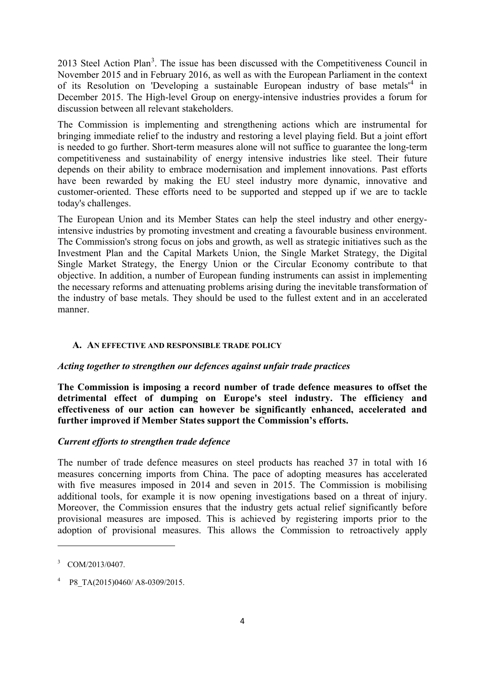201[3](#page-4-0) Steel Action Plan<sup>3</sup>. The issue has been discussed with the Competitiveness Council in November 2015 and in February 2016, as well as with the European Parliament in the context of its Resolution on 'Developing a sustainable European industry of base metals'[4](#page-4-1) in December 2015. The High-level Group on energy-intensive industries provides a forum for discussion between all relevant stakeholders.

The Commission is implementing and strengthening actions which are instrumental for bringing immediate relief to the industry and restoring a level playing field. But a joint effort is needed to go further. Short-term measures alone will not suffice to guarantee the long-term competitiveness and sustainability of energy intensive industries like steel. Their future depends on their ability to embrace modernisation and implement innovations. Past efforts have been rewarded by making the EU steel industry more dynamic, innovative and customer-oriented. These efforts need to be supported and stepped up if we are to tackle today's challenges.

The European Union and its Member States can help the steel industry and other energyintensive industries by promoting investment and creating a favourable business environment. The Commission's strong focus on jobs and growth, as well as strategic initiatives such as the Investment Plan and the Capital Markets Union, the Single Market Strategy, the Digital Single Market Strategy, the Energy Union or the Circular Economy contribute to that objective. In addition, a number of European funding instruments can assist in implementing the necessary reforms and attenuating problems arising during the inevitable transformation of the industry of base metals. They should be used to the fullest extent and in an accelerated manner.

### **A. AN EFFECTIVE AND RESPONSIBLE TRADE POLICY**

### *Acting together to strengthen our defences against unfair trade practices*

**The Commission is imposing a record number of trade defence measures to offset the detrimental effect of dumping on Europe's steel industry. The efficiency and effectiveness of our action can however be significantly enhanced, accelerated and further improved if Member States support the Commission's efforts.** 

### *Current efforts to strengthen trade defence*

The number of trade defence measures on steel products has reached 37 in total with 16 measures concerning imports from China. The pace of adopting measures has accelerated with five measures imposed in 2014 and seven in 2015. The Commission is mobilising additional tools, for example it is now opening investigations based on a threat of injury. Moreover, the Commission ensures that the industry gets actual relief significantly before provisional measures are imposed. This is achieved by registering imports prior to the adoption of provisional measures. This allows the Commission to retroactively apply

<span id="page-4-0"></span><sup>3</sup> COM/2013/0407.

<span id="page-4-1"></span>P8\_TA(2015)0460/ A8-0309/2015.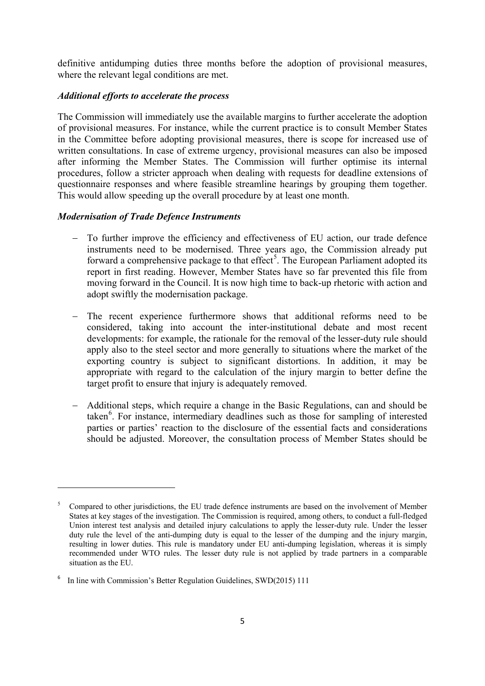definitive antidumping duties three months before the adoption of provisional measures, where the relevant legal conditions are met.

### *Additional efforts to accelerate the process*

The Commission will immediately use the available margins to further accelerate the adoption of provisional measures. For instance, while the current practice is to consult Member States in the Committee before adopting provisional measures, there is scope for increased use of written consultations. In case of extreme urgency, provisional measures can also be imposed after informing the Member States. The Commission will further optimise its internal procedures, follow a stricter approach when dealing with requests for deadline extensions of questionnaire responses and where feasible streamline hearings by grouping them together. This would allow speeding up the overall procedure by at least one month.

# *Modernisation of Trade Defence Instruments*

- To further improve the efficiency and effectiveness of EU action, our trade defence instruments need to be modernised. Three years ago, the Commission already put forward a comprehensive package to that effect<sup>[5](#page-5-0)</sup>. The European Parliament adopted its report in first reading. However, Member States have so far prevented this file from moving forward in the Council. It is now high time to back-up rhetoric with action and adopt swiftly the modernisation package.
- − The recent experience furthermore shows that additional reforms need to be considered, taking into account the inter-institutional debate and most recent developments: for example, the rationale for the removal of the lesser-duty rule should apply also to the steel sector and more generally to situations where the market of the exporting country is subject to significant distortions. In addition, it may be appropriate with regard to the calculation of the injury margin to better define the target profit to ensure that injury is adequately removed.
- − Additional steps, which require a change in the Basic Regulations, can and should be taken<sup>[6](#page-5-1)</sup>. For instance, intermediary deadlines such as those for sampling of interested parties or parties' reaction to the disclosure of the essential facts and considerations should be adjusted. Moreover, the consultation process of Member States should be

1

<span id="page-5-0"></span><sup>5</sup> Compared to other jurisdictions, the EU trade defence instruments are based on the involvement of Member States at key stages of the investigation. The Commission is required, among others, to conduct a full-fledged Union interest test analysis and detailed injury calculations to apply the lesser-duty rule. Under the lesser duty rule the level of the anti-dumping duty is equal to the lesser of the dumping and the injury margin, resulting in lower duties. This rule is mandatory under EU anti-dumping legislation, whereas it is simply recommended under WTO rules. The lesser duty rule is not applied by trade partners in a comparable situation as the EU.

<span id="page-5-1"></span><sup>6</sup> In line with Commission's Better Regulation Guidelines, SWD(2015) 111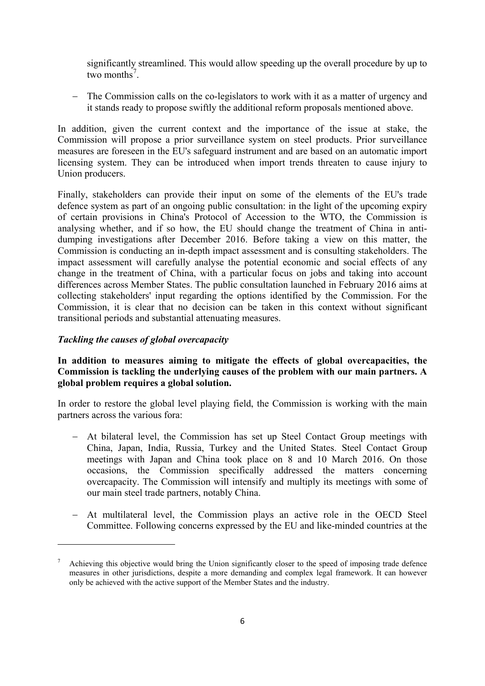significantly streamlined. This would allow speeding up the overall procedure by up to two months<sup>[7](#page-6-0)</sup>.

− The Commission calls on the co-legislators to work with it as a matter of urgency and it stands ready to propose swiftly the additional reform proposals mentioned above.

In addition, given the current context and the importance of the issue at stake, the Commission will propose a prior surveillance system on steel products. Prior surveillance measures are foreseen in the EU's safeguard instrument and are based on an automatic import licensing system. They can be introduced when import trends threaten to cause injury to Union producers.

Finally, stakeholders can provide their input on some of the elements of the EU's trade defence system as part of an ongoing public consultation: in the light of the upcoming expiry of certain provisions in China's Protocol of Accession to the WTO, the Commission is analysing whether, and if so how, the EU should change the treatment of China in antidumping investigations after December 2016. Before taking a view on this matter, the Commission is conducting an in-depth impact assessment and is consulting stakeholders. The impact assessment will carefully analyse the potential economic and social effects of any change in the treatment of China, with a particular focus on jobs and taking into account differences across Member States. The public consultation launched in February 2016 aims at collecting stakeholders' input regarding the options identified by the Commission. For the Commission, it is clear that no decision can be taken in this context without significant transitional periods and substantial attenuating measures.

# *Tackling the causes of global overcapacity*

**.** 

# **In addition to measures aiming to mitigate the effects of global overcapacities, the Commission is tackling the underlying causes of the problem with our main partners. A global problem requires a global solution.**

In order to restore the global level playing field, the Commission is working with the main partners across the various fora:

- − At bilateral level, the Commission has set up Steel Contact Group meetings with China, Japan, India, Russia, Turkey and the United States. Steel Contact Group meetings with Japan and China took place on 8 and 10 March 2016. On those occasions, the Commission specifically addressed the matters concerning overcapacity. The Commission will intensify and multiply its meetings with some of our main steel trade partners, notably China.
- − At multilateral level, the Commission plays an active role in the OECD Steel Committee. Following concerns expressed by the EU and like-minded countries at the

<span id="page-6-0"></span><sup>7</sup> Achieving this objective would bring the Union significantly closer to the speed of imposing trade defence measures in other jurisdictions, despite a more demanding and complex legal framework. It can however only be achieved with the active support of the Member States and the industry.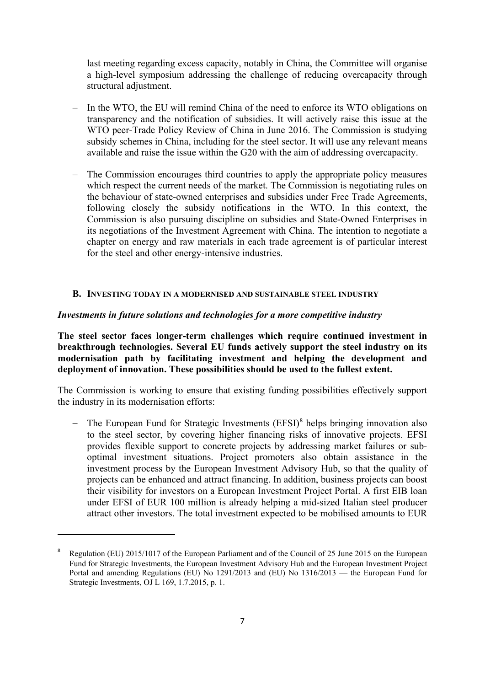last meeting regarding excess capacity, notably in China, the Committee will organise a high-level symposium addressing the challenge of reducing overcapacity through structural adjustment.

- In the WTO, the EU will remind China of the need to enforce its WTO obligations on transparency and the notification of subsidies. It will actively raise this issue at the WTO peer-Trade Policy Review of China in June 2016. The Commission is studying subsidy schemes in China, including for the steel sector. It will use any relevant means available and raise the issue within the G20 with the aim of addressing overcapacity.
- − The Commission encourages third countries to apply the appropriate policy measures which respect the current needs of the market. The Commission is negotiating rules on the behaviour of state-owned enterprises and subsidies under Free Trade Agreements, following closely the subsidy notifications in the WTO. In this context, the Commission is also pursuing discipline on subsidies and State-Owned Enterprises in its negotiations of the Investment Agreement with China. The intention to negotiate a chapter on energy and raw materials in each trade agreement is of particular interest for the steel and other energy-intensive industries.

### **B. INVESTING TODAY IN A MODERNISED AND SUSTAINABLE STEEL INDUSTRY**

### *Investments in future solutions and technologies for a more competitive industry*

**The steel sector faces longer-term challenges which require continued investment in breakthrough technologies. Several EU funds actively support the steel industry on its modernisation path by facilitating investment and helping the development and deployment of innovation. These possibilities should be used to the fullest extent.** 

The Commission is working to ensure that existing funding possibilities effectively support the industry in its modernisation efforts:

− The European Fund for Strategic Investments (EFSI)<sup>[8](#page-7-0)</sup> helps bringing innovation also to the steel sector, by covering higher financing risks of innovative projects. EFSI provides flexible support to concrete projects by addressing market failures or suboptimal investment situations. Project promoters also obtain assistance in the investment process by the European Investment Advisory Hub, so that the quality of projects can be enhanced and attract financing. In addition, business projects can boost their visibility for investors on a European Investment Project Portal. A first EIB loan under EFSI of EUR 100 million is already helping a mid-sized Italian steel producer attract other investors. The total investment expected to be mobilised amounts to EUR

<span id="page-7-0"></span><sup>8</sup> Regulation (EU) 2015/1017 of the European Parliament and of the Council of 25 June 2015 on the European Fund for Strategic Investments, the European Investment Advisory Hub and the European Investment Project Portal and amending Regulations (EU) No 1291/2013 and (EU) No 1316/2013 — the European Fund for Strategic Investments, OJ L 169, 1.7.2015, p. 1.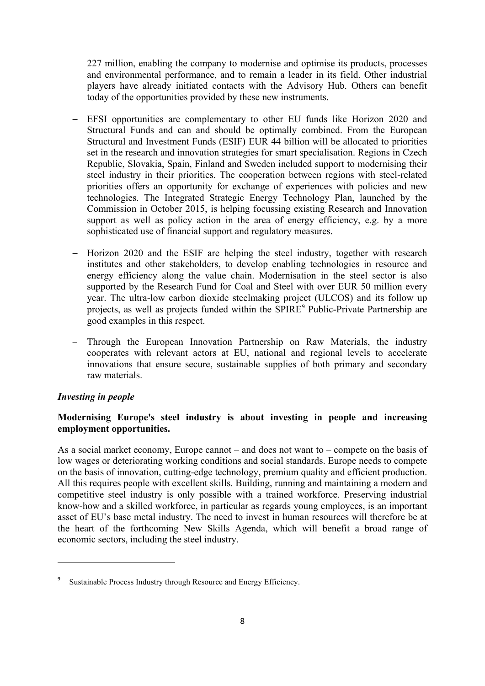227 million, enabling the company to modernise and optimise its products, processes and environmental performance, and to remain a leader in its field. Other industrial players have already initiated contacts with the Advisory Hub. Others can benefit today of the opportunities provided by these new instruments.

- − EFSI opportunities are complementary to other EU funds like Horizon 2020 and Structural Funds and can and should be optimally combined. From the European Structural and Investment Funds (ESIF) EUR 44 billion will be allocated to priorities set in the research and innovation strategies for smart specialisation. Regions in Czech Republic, Slovakia, Spain, Finland and Sweden included support to modernising their steel industry in their priorities. The cooperation between regions with steel-related priorities offers an opportunity for exchange of experiences with policies and new technologies. The Integrated Strategic Energy Technology Plan, launched by the Commission in October 2015, is helping focussing existing Research and Innovation support as well as policy action in the area of energy efficiency, e.g. by a more sophisticated use of financial support and regulatory measures.
- − Horizon 2020 and the ESIF are helping the steel industry, together with research institutes and other stakeholders, to develop enabling technologies in resource and energy efficiency along the value chain. Modernisation in the steel sector is also supported by the Research Fund for Coal and Steel with over EUR 50 million every year. The ultra-low carbon dioxide steelmaking project (ULCOS) and its follow up projects, as well as projects funded within the SPIRE[9](#page-8-0) Public-Private Partnership are good examples in this respect.
- − Through the European Innovation Partnership on Raw Materials, the industry cooperates with relevant actors at EU, national and regional levels to accelerate innovations that ensure secure, sustainable supplies of both primary and secondary raw materials.

# *Investing in people*

**.** 

# **Modernising Europe's steel industry is about investing in people and increasing employment opportunities.**

As a social market economy, Europe cannot – and does not want to – compete on the basis of low wages or deteriorating working conditions and social standards. Europe needs to compete on the basis of innovation, cutting-edge technology, premium quality and efficient production. All this requires people with excellent skills. Building, running and maintaining a modern and competitive steel industry is only possible with a trained workforce. Preserving industrial know-how and a skilled workforce, in particular as regards young employees, is an important asset of EU's base metal industry. The need to invest in human resources will therefore be at the heart of the forthcoming New Skills Agenda, which will benefit a broad range of economic sectors, including the steel industry.

<span id="page-8-0"></span>Sustainable Process Industry through Resource and Energy Efficiency.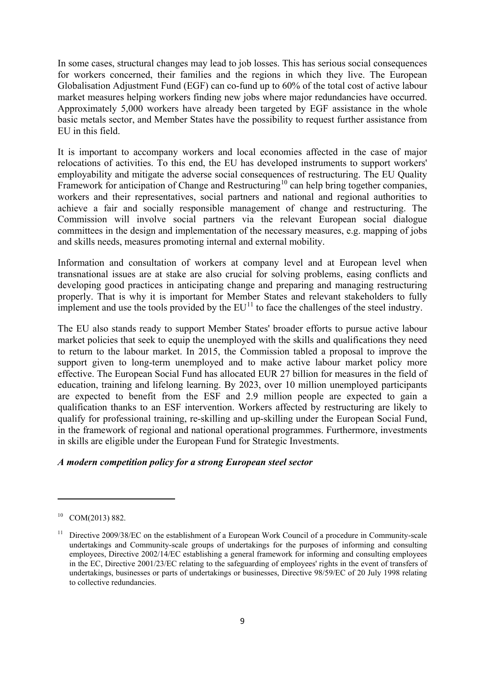In some cases, structural changes may lead to job losses. This has serious social consequences for workers concerned, their families and the regions in which they live. The European Globalisation Adjustment Fund (EGF) can co-fund up to 60% of the total cost of active labour market measures helping workers finding new jobs where major redundancies have occurred. Approximately 5,000 workers have already been targeted by EGF assistance in the whole basic metals sector, and Member States have the possibility to request further assistance from EU in this field.

It is important to accompany workers and local economies affected in the case of major relocations of activities. To this end, the EU has developed instruments to support workers' employability and mitigate the adverse social consequences of restructuring. The EU Quality Framework for anticipation of Change and Restructuring<sup>[10](#page-9-0)</sup> can help bring together companies, workers and their representatives, social partners and national and regional authorities to achieve a fair and socially responsible management of change and restructuring. The Commission will involve social partners via the relevant European social dialogue committees in the design and implementation of the necessary measures, e.g. mapping of jobs and skills needs, measures promoting internal and external mobility.

Information and consultation of workers at company level and at European level when transnational issues are at stake are also crucial for solving problems, easing conflicts and developing good practices in anticipating change and preparing and managing restructuring properly. That is why it is important for Member States and relevant stakeholders to fully implement and use the tools provided by the  $EU<sup>11</sup>$  $EU<sup>11</sup>$  $EU<sup>11</sup>$  to face the challenges of the steel industry.

The EU also stands ready to support Member States' broader efforts to pursue active labour market policies that seek to equip the unemployed with the skills and qualifications they need to return to the labour market. In 2015, the Commission tabled a proposal to improve the support given to long-term unemployed and to make active labour market policy more effective. The European Social Fund has allocated EUR 27 billion for measures in the field of education, training and lifelong learning. By 2023, over 10 million unemployed participants are expected to benefit from the ESF and 2.9 million people are expected to gain a qualification thanks to an ESF intervention. Workers affected by restructuring are likely to qualify for professional training, re-skilling and up-skilling under the European Social Fund, in the framework of regional and national operational programmes. Furthermore, investments in skills are eligible under the European Fund for Strategic Investments.

### *A modern competition policy for a strong European steel sector*

 $\overline{a}$ 

<span id="page-9-0"></span> $10$  COM(2013) 882.

<span id="page-9-1"></span> $11$  Directive 2009/38/EC on the establishment of a European Work Council of a procedure in Community-scale undertakings and Community-scale groups of undertakings for the purposes of informing and consulting employees, Directive 2002/14/EC establishing a general framework for informing and consulting employees in the EC, Directive 2001/23/EC relating to the safeguarding of employees' rights in the event of transfers of undertakings, businesses or parts of undertakings or businesses, Directive 98/59/EC of 20 July 1998 relating to collective redundancies.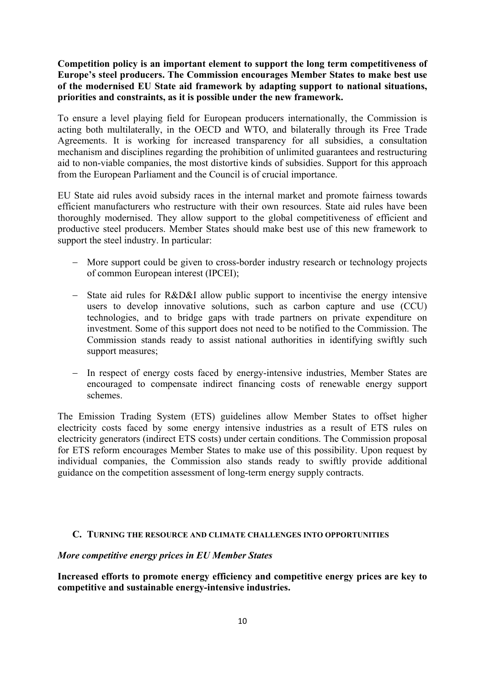**Competition policy is an important element to support the long term competitiveness of Europe's steel producers. The Commission encourages Member States to make best use of the modernised EU State aid framework by adapting support to national situations, priorities and constraints, as it is possible under the new framework.** 

To ensure a level playing field for European producers internationally, the Commission is acting both multilaterally, in the OECD and WTO, and bilaterally through its Free Trade Agreements. It is working for increased transparency for all subsidies, a consultation mechanism and disciplines regarding the prohibition of unlimited guarantees and restructuring aid to non-viable companies, the most distortive kinds of subsidies. Support for this approach from the European Parliament and the Council is of crucial importance.

EU State aid rules avoid subsidy races in the internal market and promote fairness towards efficient manufacturers who restructure with their own resources. State aid rules have been thoroughly modernised. They allow support to the global competitiveness of efficient and productive steel producers. Member States should make best use of this new framework to support the steel industry. In particular:

- − More support could be given to cross-border industry research or technology projects of common European interest (IPCEI);
- − State aid rules for R&D&I allow public support to incentivise the energy intensive users to develop innovative solutions, such as carbon capture and use (CCU) technologies, and to bridge gaps with trade partners on private expenditure on investment. Some of this support does not need to be notified to the Commission. The Commission stands ready to assist national authorities in identifying swiftly such support measures;
- − In respect of energy costs faced by energy-intensive industries, Member States are encouraged to compensate indirect financing costs of renewable energy support schemes.

The Emission Trading System (ETS) guidelines allow Member States to offset higher electricity costs faced by some energy intensive industries as a result of ETS rules on electricity generators (indirect ETS costs) under certain conditions. The Commission proposal for ETS reform encourages Member States to make use of this possibility. Upon request by individual companies, the Commission also stands ready to swiftly provide additional guidance on the competition assessment of long-term energy supply contracts.

#### **C. TURNING THE RESOURCE AND CLIMATE CHALLENGES INTO OPPORTUNITIES**

#### *More competitive energy prices in EU Member States*

**Increased efforts to promote energy efficiency and competitive energy prices are key to competitive and sustainable energy-intensive industries.**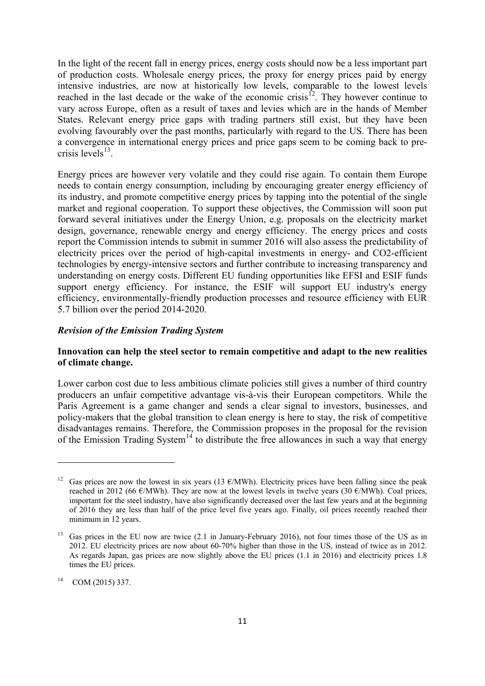In the light of the recent fall in energy prices, energy costs should now be a less important part of production costs. Wholesale energy prices, the proxy for energy prices paid by energy intensive industries, are now at historically low levels, comparable to the lowest levels reached in the last decade or the wake of the economic crisis<sup>12</sup>. They however continue to vary across Europe, often as a result of taxes and levies which are in the hands of Member States. Relevant energy price gaps with trading partners still exist, but they have been evolving favourably over the past months, particularly with regard to the US. There has been a convergence in international energy prices and price gaps seem to be coming back to precrisis levels $^{13}$ .

Energy prices are however very volatile and they could rise again. To contain them Europe needs to contain energy consumption, including by encouraging greater energy efficiency of its industry, and promote competitive energy prices by tapping into the potential of the single market and regional cooperation. To support these objectives, the Commission will soon put forward several initiatives under the Energy Union, e.g. proposals on the electricity market design, governance, renewable energy and energy efficiency. The energy prices and costs report the Commission intends to submit in summer 2016 will also assess the predictability of electricity prices over the period of high-capital investments in energy- and CO2-efficient technologies by energy-intensive sectors and further contribute to increasing transparency and understanding on energy costs. Different EU funding opportunities like EFSI and ESIF funds support energy efficiency. For instance, the ESIF will support EU industry's energy efficiency, environmentally-friendly production processes and resource efficiency with EUR 5.7 billion over the period 2014-2020.

### *Revision of the Emission Trading System*

### **Innovation can help the steel sector to remain competitive and adapt to the new realities of climate change.**

Lower carbon cost due to less ambitious climate policies still gives a number of third country producers an unfair competitive advantage vis-à-vis their European competitors. While the Paris Agreement is a game changer and sends a clear signal to investors, businesses, and policy-makers that the global transition to clean energy is here to stay, the risk of competitive disadvantages remains. Therefore, the Commission proposes in the proposal for the revision of the Emission Trading System<sup>[14](#page-11-2)</sup> to distribute the free allowances in such a way that energy

<span id="page-11-0"></span><sup>&</sup>lt;sup>12</sup> Gas prices are now the lowest in six years (13  $\epsilon$ /MWh). Electricity prices have been falling since the peak reached in 2012 (66  $\epsilon$ /MWh). They are now at the lowest levels in twelve years (30  $\epsilon$ /MWh). Coal prices, important for the steel industry, have also significantly decreased over the last few years and at the beginning of 2016 they are less than half of the price level five years ago. Finally, oil prices recently reached their minimum in 12 years.

<span id="page-11-1"></span><sup>&</sup>lt;sup>13</sup> Gas prices in the EU now are twice (2.1 in January-February 2016), not four times those of the US as in 2012. EU electricity prices are now about 60-70% higher than those in the US, instead of twice as in 2012. As regards Japan, gas prices are now slightly above the EU prices (1.1 in 2016) and electricity prices 1.8 times the EU prices.

<span id="page-11-2"></span> $14$  COM (2015) 337.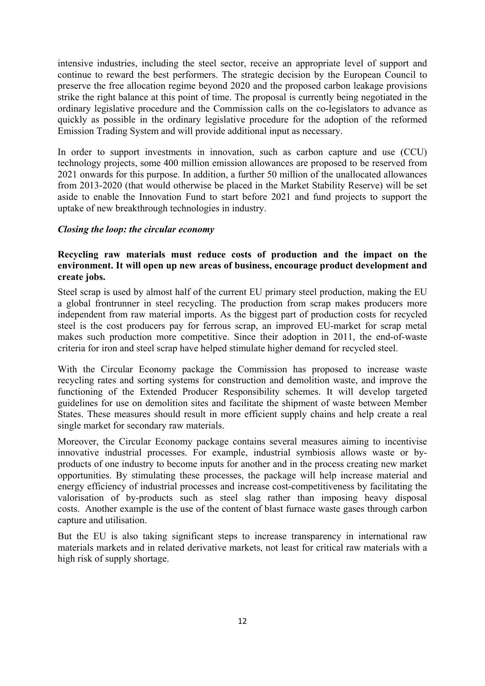intensive industries, including the steel sector, receive an appropriate level of support and continue to reward the best performers. The strategic decision by the European Council to preserve the free allocation regime beyond 2020 and the proposed carbon leakage provisions strike the right balance at this point of time. The proposal is currently being negotiated in the ordinary legislative procedure and the Commission calls on the co-legislators to advance as quickly as possible in the ordinary legislative procedure for the adoption of the reformed Emission Trading System and will provide additional input as necessary.

In order to support investments in innovation, such as carbon capture and use (CCU) technology projects, some 400 million emission allowances are proposed to be reserved from 2021 onwards for this purpose. In addition, a further 50 million of the unallocated allowances from 2013-2020 (that would otherwise be placed in the Market Stability Reserve) will be set aside to enable the Innovation Fund to start before 2021 and fund projects to support the uptake of new breakthrough technologies in industry.

### *Closing the loop: the circular economy*

# **Recycling raw materials must reduce costs of production and the impact on the environment. It will open up new areas of business, encourage product development and create jobs.**

Steel scrap is used by almost half of the current EU primary steel production, making the EU a global frontrunner in steel recycling. The production from scrap makes producers more independent from raw material imports. As the biggest part of production costs for recycled steel is the cost producers pay for ferrous scrap, an improved EU-market for scrap metal makes such production more competitive. Since their adoption in 2011, the end-of-waste criteria for iron and steel scrap have helped stimulate higher demand for recycled steel.

With the Circular Economy package the Commission has proposed to increase waste recycling rates and sorting systems for construction and demolition waste, and improve the functioning of the Extended Producer Responsibility schemes. It will develop targeted guidelines for use on demolition sites and facilitate the shipment of waste between Member States. These measures should result in more efficient supply chains and help create a real single market for secondary raw materials.

Moreover, the Circular Economy package contains several measures aiming to incentivise innovative industrial processes. For example, industrial symbiosis allows waste or byproducts of one industry to become inputs for another and in the process creating new market opportunities. By stimulating these processes, the package will help increase material and energy efficiency of industrial processes and increase cost-competitiveness by facilitating the valorisation of by-products such as steel slag rather than imposing heavy disposal costs. Another example is the use of the content of blast furnace waste gases through carbon capture and utilisation.

But the EU is also taking significant steps to increase transparency in international raw materials markets and in related derivative markets, not least for critical raw materials with a high risk of supply shortage.